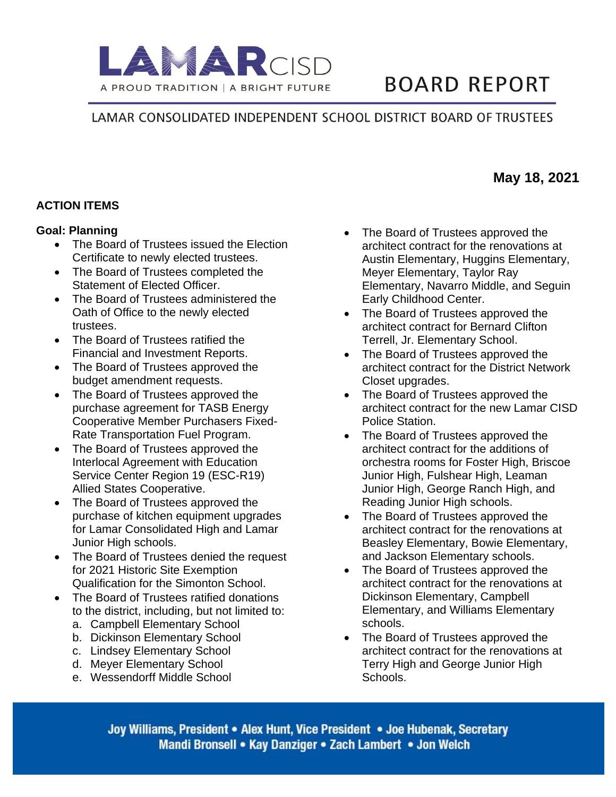

# **BOARD REPORT**

# LAMAR CONSOLIDATED INDEPENDENT SCHOOL DISTRICT BOARD OF TRUSTEES

# **ACTION ITEMS**

#### **Goal: Planning**

- The Board of Trustees issued the Election Certificate to newly elected trustees.
- The Board of Trustees completed the Statement of Elected Officer.
- The Board of Trustees administered the Oath of Office to the newly elected trustees.
- The Board of Trustees ratified the Financial and Investment Reports.
- The Board of Trustees approved the budget amendment requests.
- The Board of Trustees approved the purchase agreement for TASB Energy Cooperative Member Purchasers Fixed-Rate Transportation Fuel Program.
- The Board of Trustees approved the Interlocal Agreement with Education Service Center Region 19 (ESC-R19) Allied States Cooperative.
- The Board of Trustees approved the purchase of kitchen equipment upgrades for Lamar Consolidated High and Lamar Junior High schools.
- The Board of Trustees denied the request for 2021 Historic Site Exemption Qualification for the Simonton School.
- The Board of Trustees ratified donations to the district, including, but not limited to:
	- a. Campbell Elementary School
	- b. Dickinson Elementary School
	- c. Lindsey Elementary School
	- d. Meyer Elementary School
	- e. Wessendorff Middle School
- The Board of Trustees approved the architect contract for the renovations at Austin Elementary, Huggins Elementary, Meyer Elementary, Taylor Ray Elementary, Navarro Middle, and Seguin Early Childhood Center.
- The Board of Trustees approved the architect contract for Bernard Clifton Terrell, Jr. Elementary School.
- The Board of Trustees approved the architect contract for the District Network Closet upgrades.
- The Board of Trustees approved the architect contract for the new Lamar CISD Police Station.
- The Board of Trustees approved the architect contract for the additions of orchestra rooms for Foster High, Briscoe Junior High, Fulshear High, Leaman Junior High, George Ranch High, and Reading Junior High schools.
- The Board of Trustees approved the architect contract for the renovations at Beasley Elementary, Bowie Elementary, and Jackson Elementary schools.
- The Board of Trustees approved the architect contract for the renovations at Dickinson Elementary, Campbell Elementary, and Williams Elementary schools.
- The Board of Trustees approved the architect contract for the renovations at Terry High and George Junior High Schools.

Joy Williams, President • Alex Hunt, Vice President • Joe Hubenak, Secretary Mandi Bronsell • Kay Danziger • Zach Lambert • Jon Welch

**May 18, 2021**